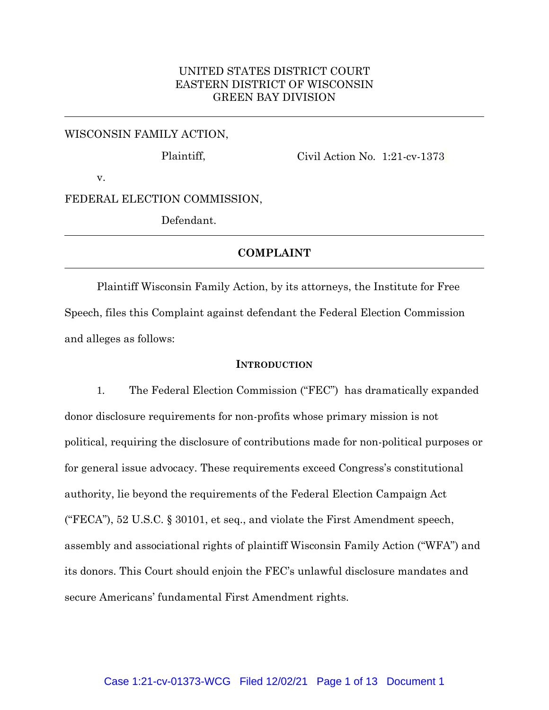## UNITED STATES DISTRICT COURT EASTERN DISTRICT OF WISCONSIN GREEN BAY DIVISION

## WISCONSIN FAMILY ACTION,

Plaintiff,

Civil Action No. 1:21-cv-1373

v.

FEDERAL ELECTION COMMISSION,

Defendant.

# **COMPLAINT**

Plaintiff Wisconsin Family Action, by its attorneys, the Institute for Free Speech, files this Complaint against defendant the Federal Election Commission and alleges as follows:

## **INTRODUCTION**

1. The Federal Election Commission ("FEC") has dramatically expanded donor disclosure requirements for non-profits whose primary mission is not political, requiring the disclosure of contributions made for non-political purposes or for general issue advocacy. These requirements exceed Congress's constitutional authority, lie beyond the requirements of the Federal Election Campaign Act ("FECA"), 52 U.S.C. § 30101, et seq., and violate the First Amendment speech, assembly and associational rights of plaintiff Wisconsin Family Action ("WFA") and its donors. This Court should enjoin the FEC's unlawful disclosure mandates and secure Americans' fundamental First Amendment rights.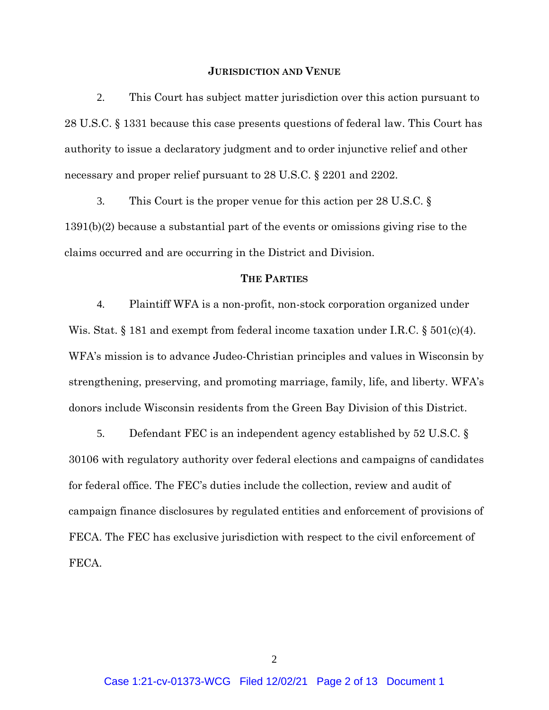#### **JURISDICTION AND VENUE**

2. This Court has subject matter jurisdiction over this action pursuant to 28 U.S.C. § 1331 because this case presents questions of federal law. This Court has authority to issue a declaratory judgment and to order injunctive relief and other necessary and proper relief pursuant to 28 U.S.C. § 2201 and 2202.

3. This Court is the proper venue for this action per 28 U.S.C. § 1391(b)(2) because a substantial part of the events or omissions giving rise to the claims occurred and are occurring in the District and Division.

## **THE PARTIES**

4. Plaintiff WFA is a non-profit, non-stock corporation organized under Wis. Stat.  $\S 181$  and exempt from federal income taxation under I.R.C.  $\S 501(c)(4)$ . WFA's mission is to advance Judeo-Christian principles and values in Wisconsin by strengthening, preserving, and promoting marriage, family, life, and liberty. WFA's donors include Wisconsin residents from the Green Bay Division of this District.

5. Defendant FEC is an independent agency established by 52 U.S.C. § 30106 with regulatory authority over federal elections and campaigns of candidates for federal office. The FEC's duties include the collection, review and audit of campaign finance disclosures by regulated entities and enforcement of provisions of FECA. The FEC has exclusive jurisdiction with respect to the civil enforcement of FECA.

2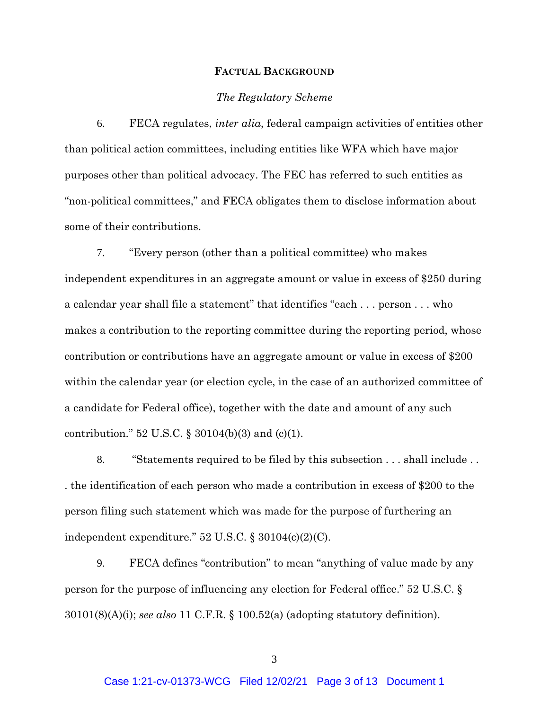#### **FACTUAL BACKGROUND**

#### *The Regulatory Scheme*

6. FECA regulates, *inter alia*, federal campaign activities of entities other than political action committees, including entities like WFA which have major purposes other than political advocacy. The FEC has referred to such entities as "non-political committees," and FECA obligates them to disclose information about some of their contributions.

7. "Every person (other than a political committee) who makes independent expenditures in an aggregate amount or value in excess of \$250 during a calendar year shall file a statement" that identifies "each . . . person . . . who makes a contribution to the reporting committee during the reporting period, whose contribution or contributions have an aggregate amount or value in excess of \$200 within the calendar year (or election cycle, in the case of an authorized committee of a candidate for Federal office), together with the date and amount of any such contribution." 52 U.S.C. § 30104(b)(3) and (c)(1).

8. "Statements required to be filed by this subsection . . . shall include . . . the identification of each person who made a contribution in excess of \$200 to the person filing such statement which was made for the purpose of furthering an independent expenditure." 52 U.S.C. § 30104(c)(2)(C).

9. FECA defines "contribution" to mean "anything of value made by any person for the purpose of influencing any election for Federal office." 52 U.S.C. § 30101(8)(A)(i); *see also* 11 C.F.R. § 100.52(a) (adopting statutory definition).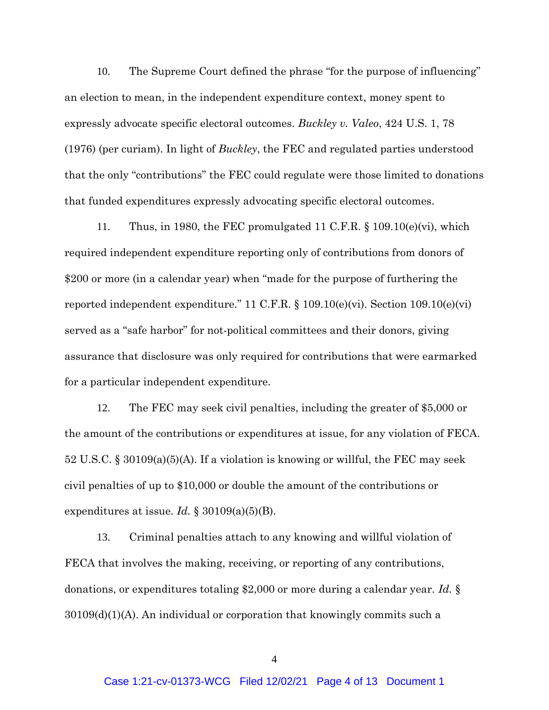10. The Supreme Court defined the phrase "for the purpose of influencing" an election to mean, in the independent expenditure context, money spent to expressly advocate specific electoral outcomes. *Buckley v. Valeo*, 424 U.S. 1, 78 (1976) (per curiam). In light of *Buckley*, the FEC and regulated parties understood that the only "contributions" the FEC could regulate were those limited to donations that funded expenditures expressly advocating specific electoral outcomes.

11. Thus, in 1980, the FEC promulgated 11 C.F.R. § 109.10(e)(vi), which required independent expenditure reporting only of contributions from donors of \$200 or more (in a calendar year) when "made for the purpose of furthering the reported independent expenditure." 11 C.F.R. § 109.10(e)(vi). Section 109.10(e)(vi) served as a "safe harbor" for not-political committees and their donors, giving assurance that disclosure was only required for contributions that were earmarked for a particular independent expenditure.

12. The FEC may seek civil penalties, including the greater of \$5,000 or the amount of the contributions or expenditures at issue, for any violation of FECA. 52 U.S.C. § 30109(a)(5)(A). If a violation is knowing or willful, the FEC may seek civil penalties of up to \$10,000 or double the amount of the contributions or expenditures at issue. *Id.* § 30109(a)(5)(B).

13. Criminal penalties attach to any knowing and willful violation of FECA that involves the making, receiving, or reporting of any contributions, donations, or expenditures totaling \$2,000 or more during a calendar year. *Id.* §  $30109(d)(1)(A)$ . An individual or corporation that knowingly commits such a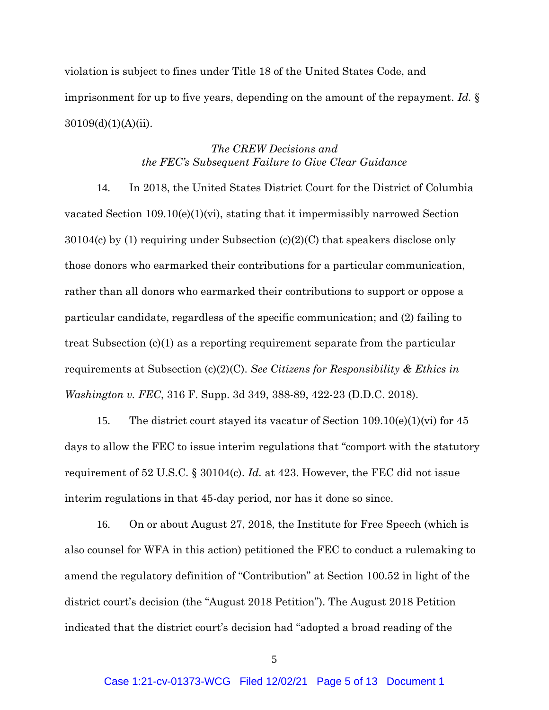violation is subject to fines under Title 18 of the United States Code, and imprisonment for up to five years, depending on the amount of the repayment. *Id.* §  $30109(d)(1)(A)(ii)$ .

# *The CREW Decisions and the FEC's Subsequent Failure to Give Clear Guidance*

14. In 2018, the United States District Court for the District of Columbia vacated Section 109.10(e)(1)(vi), stating that it impermissibly narrowed Section 30104(c) by (1) requiring under Subsection (c)(2)(C) that speakers disclose only those donors who earmarked their contributions for a particular communication, rather than all donors who earmarked their contributions to support or oppose a particular candidate, regardless of the specific communication; and (2) failing to treat Subsection (c)(1) as a reporting requirement separate from the particular requirements at Subsection (c)(2)(C). *See Citizens for Responsibility & Ethics in Washington v. FEC*, 316 F. Supp. 3d 349, 388-89, 422-23 (D.D.C. 2018).

15. The district court stayed its vacatur of Section 109.10(e)(1)(vi) for 45 days to allow the FEC to issue interim regulations that "comport with the statutory requirement of 52 U.S.C. § 30104(c). *Id.* at 423. However, the FEC did not issue interim regulations in that 45-day period, nor has it done so since.

16. On or about August 27, 2018, the Institute for Free Speech (which is also counsel for WFA in this action) petitioned the FEC to conduct a rulemaking to amend the regulatory definition of "Contribution" at Section 100.52 in light of the district court's decision (the "August 2018 Petition"). The August 2018 Petition indicated that the district court's decision had "adopted a broad reading of the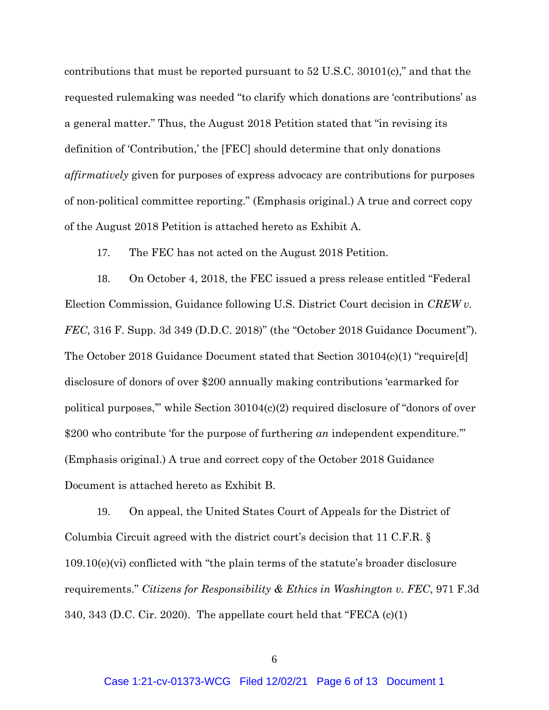contributions that must be reported pursuant to 52 U.S.C. 30101(c)," and that the requested rulemaking was needed "to clarify which donations are 'contributions' as a general matter." Thus, the August 2018 Petition stated that "in revising its definition of 'Contribution,' the [FEC] should determine that only donations *affirmatively* given for purposes of express advocacy are contributions for purposes of non-political committee reporting." (Emphasis original.) A true and correct copy of the August 2018 Petition is attached hereto as Exhibit A.

17. The FEC has not acted on the August 2018 Petition.

18. On October 4, 2018, the FEC issued a press release entitled "Federal Election Commission, Guidance following U.S. District Court decision in *CREW v. FEC*, 316 F. Supp. 3d 349 (D.D.C. 2018)" (the "October 2018 Guidance Document"). The October 2018 Guidance Document stated that Section 30104(c)(1) "require[d] disclosure of donors of over \$200 annually making contributions 'earmarked for political purposes,'" while Section 30104(c)(2) required disclosure of "donors of over \$200 who contribute 'for the purpose of furthering *an* independent expenditure.'" (Emphasis original.) A true and correct copy of the October 2018 Guidance Document is attached hereto as Exhibit B.

19. On appeal, the United States Court of Appeals for the District of Columbia Circuit agreed with the district court's decision that 11 C.F.R. § 109.10(e)(vi) conflicted with "the plain terms of the statute's broader disclosure requirements." *Citizens for Responsibility & Ethics in Washington v. FEC*, 971 F.3d 340, 343 (D.C. Cir. 2020). The appellate court held that "FECA  $(c)(1)$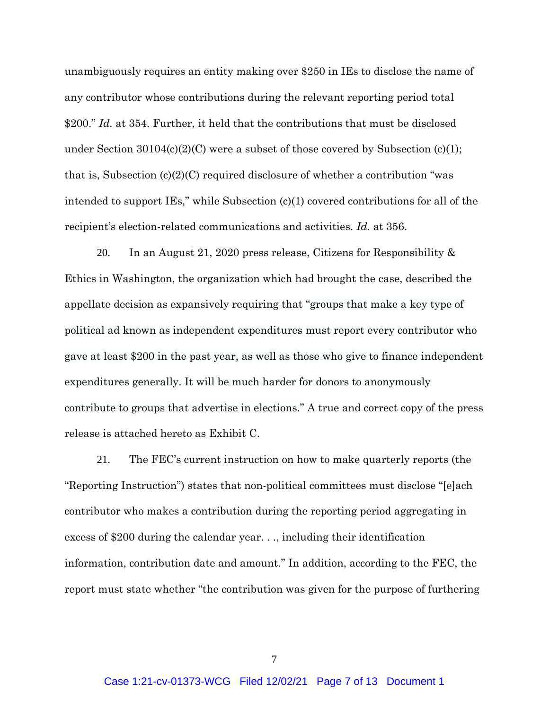unambiguously requires an entity making over \$250 in IEs to disclose the name of any contributor whose contributions during the relevant reporting period total \$200." *Id.* at 354. Further, it held that the contributions that must be disclosed under Section  $30104(c)(2)(C)$  were a subset of those covered by Subsection (c)(1); that is, Subsection  $(c)(2)(C)$  required disclosure of whether a contribution "was intended to support IEs," while Subsection  $(c)(1)$  covered contributions for all of the recipient's election-related communications and activities. *Id.* at 356.

20. In an August 21, 2020 press release, Citizens for Responsibility & Ethics in Washington, the organization which had brought the case, described the appellate decision as expansively requiring that "groups that make a key type of political ad known as independent expenditures must report every contributor who gave at least \$200 in the past year, as well as those who give to finance independent expenditures generally. It will be much harder for donors to anonymously contribute to groups that advertise in elections." A true and correct copy of the press release is attached hereto as Exhibit C.

21. The FEC's current instruction on how to make quarterly reports (the "Reporting Instruction") states that non-political committees must disclose "[e]ach contributor who makes a contribution during the reporting period aggregating in excess of \$200 during the calendar year. . ., including their identification information, contribution date and amount." In addition, according to the FEC, the report must state whether "the contribution was given for the purpose of furthering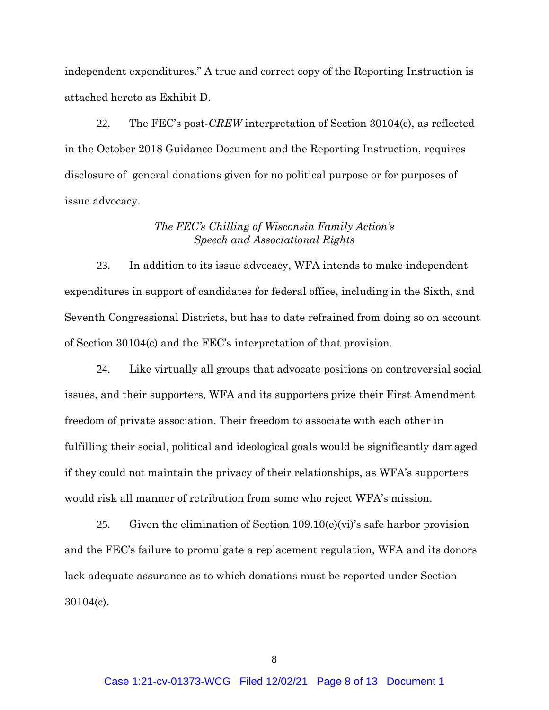independent expenditures." A true and correct copy of the Reporting Instruction is attached hereto as Exhibit D.

22. The FEC's post-*CREW* interpretation of Section 30104(c), as reflected in the October 2018 Guidance Document and the Reporting Instruction, requires disclosure of general donations given for no political purpose or for purposes of issue advocacy.

## *The FEC's Chilling of Wisconsin Family Action's Speech and Associational Rights*

23. In addition to its issue advocacy, WFA intends to make independent expenditures in support of candidates for federal office, including in the Sixth, and Seventh Congressional Districts, but has to date refrained from doing so on account of Section 30104(c) and the FEC's interpretation of that provision.

24. Like virtually all groups that advocate positions on controversial social issues, and their supporters, WFA and its supporters prize their First Amendment freedom of private association. Their freedom to associate with each other in fulfilling their social, political and ideological goals would be significantly damaged if they could not maintain the privacy of their relationships, as WFA's supporters would risk all manner of retribution from some who reject WFA's mission.

25. Given the elimination of Section  $109.10(e)(vi)$ 's safe harbor provision and the FEC's failure to promulgate a replacement regulation, WFA and its donors lack adequate assurance as to which donations must be reported under Section 30104(c).

8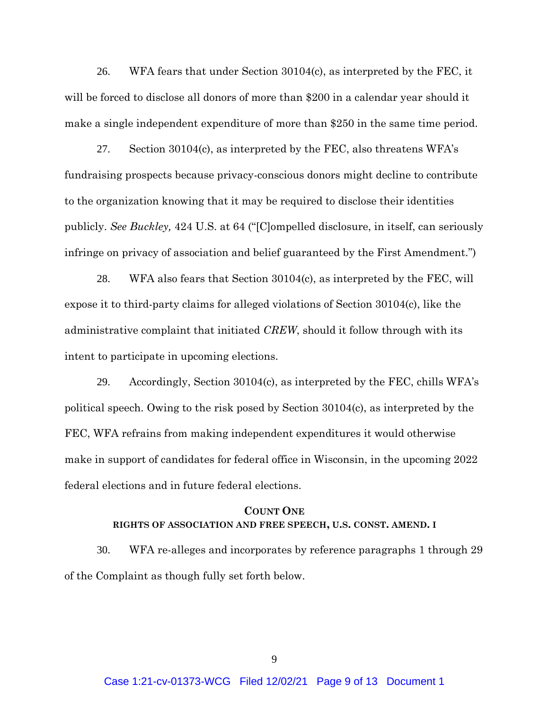26. WFA fears that under Section 30104(c), as interpreted by the FEC, it will be forced to disclose all donors of more than \$200 in a calendar year should it make a single independent expenditure of more than \$250 in the same time period.

27. Section 30104(c), as interpreted by the FEC, also threatens WFA's fundraising prospects because privacy-conscious donors might decline to contribute to the organization knowing that it may be required to disclose their identities publicly. *See Buckley,* 424 U.S. at 64 ("[C]ompelled disclosure, in itself, can seriously infringe on privacy of association and belief guaranteed by the First Amendment.")

28. WFA also fears that Section  $30104(c)$ , as interpreted by the FEC, will expose it to third-party claims for alleged violations of Section 30104(c), like the administrative complaint that initiated *CREW*, should it follow through with its intent to participate in upcoming elections.

29. Accordingly, Section 30104(c), as interpreted by the FEC, chills WFA's political speech. Owing to the risk posed by Section 30104(c), as interpreted by the FEC, WFA refrains from making independent expenditures it would otherwise make in support of candidates for federal office in Wisconsin, in the upcoming 2022 federal elections and in future federal elections.

## **COUNT ONE RIGHTS OF ASSOCIATION AND FREE SPEECH, U.S. CONST. AMEND. I**

30. WFA re-alleges and incorporates by reference paragraphs 1 through 29 of the Complaint as though fully set forth below.

9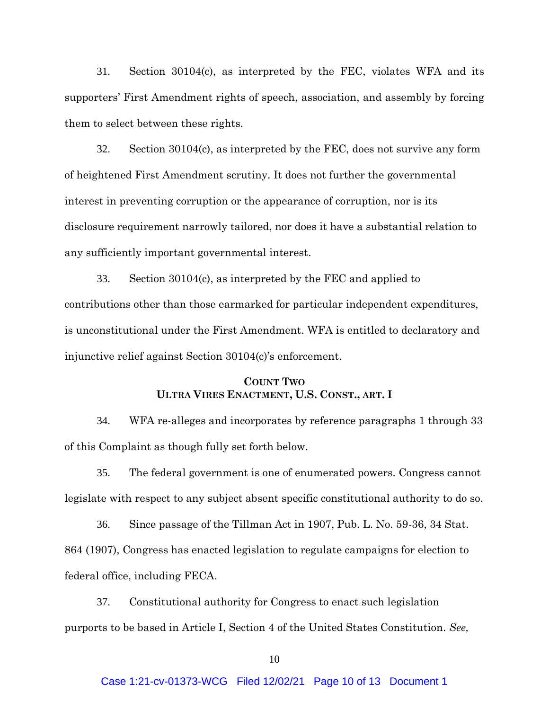31. Section 30104(c), as interpreted by the FEC, violates WFA and its supporters' First Amendment rights of speech, association, and assembly by forcing them to select between these rights.

32. Section 30104(c), as interpreted by the FEC, does not survive any form of heightened First Amendment scrutiny. It does not further the governmental interest in preventing corruption or the appearance of corruption, nor is its disclosure requirement narrowly tailored, nor does it have a substantial relation to any sufficiently important governmental interest.

33. Section 30104(c), as interpreted by the FEC and applied to contributions other than those earmarked for particular independent expenditures, is unconstitutional under the First Amendment. WFA is entitled to declaratory and injunctive relief against Section 30104(c)'s enforcement.

## **COUNT TWO ULTRA VIRES ENACTMENT, U.S. CONST., ART. I**

34. WFA re-alleges and incorporates by reference paragraphs 1 through 33 of this Complaint as though fully set forth below.

35. The federal government is one of enumerated powers. Congress cannot legislate with respect to any subject absent specific constitutional authority to do so.

36. Since passage of the Tillman Act in 1907, Pub. L. No. 59-36, 34 Stat. 864 (1907), Congress has enacted legislation to regulate campaigns for election to federal office, including FECA.

37. Constitutional authority for Congress to enact such legislation purports to be based in Article I, Section 4 of the United States Constitution. *See,*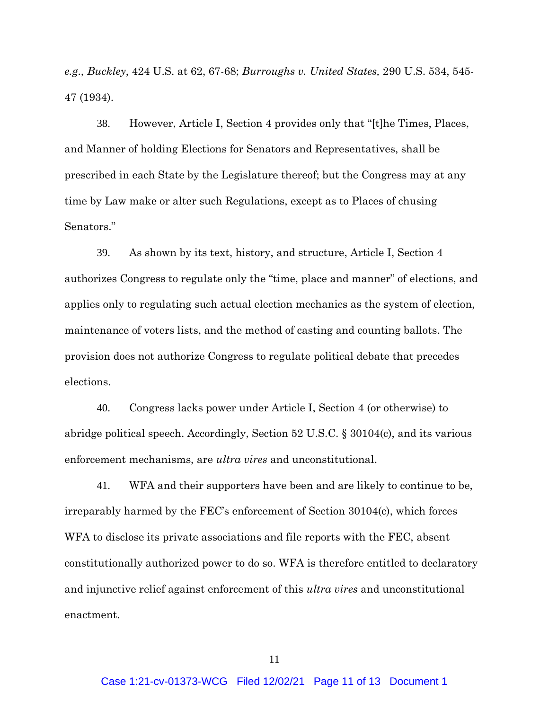*e.g., Buckley*, 424 U.S. at 62, 67-68; *Burroughs v. United States,* 290 U.S. 534, 545- 47 (1934).

38. However, Article I, Section 4 provides only that "[t]he Times, Places, and Manner of holding Elections for Senators and Representatives, shall be prescribed in each State by the Legislature thereof; but the Congress may at any time by Law make or alter such Regulations, except as to Places of chusing Senators."

39. As shown by its text, history, and structure, Article I, Section 4 authorizes Congress to regulate only the "time, place and manner" of elections, and applies only to regulating such actual election mechanics as the system of election, maintenance of voters lists, and the method of casting and counting ballots. The provision does not authorize Congress to regulate political debate that precedes elections.

40. Congress lacks power under Article I, Section 4 (or otherwise) to abridge political speech. Accordingly, Section 52 U.S.C. § 30104(c), and its various enforcement mechanisms, are *ultra vires* and unconstitutional.

41. WFA and their supporters have been and are likely to continue to be, irreparably harmed by the FEC's enforcement of Section 30104(c), which forces WFA to disclose its private associations and file reports with the FEC, absent constitutionally authorized power to do so. WFA is therefore entitled to declaratory and injunctive relief against enforcement of this *ultra vires* and unconstitutional enactment.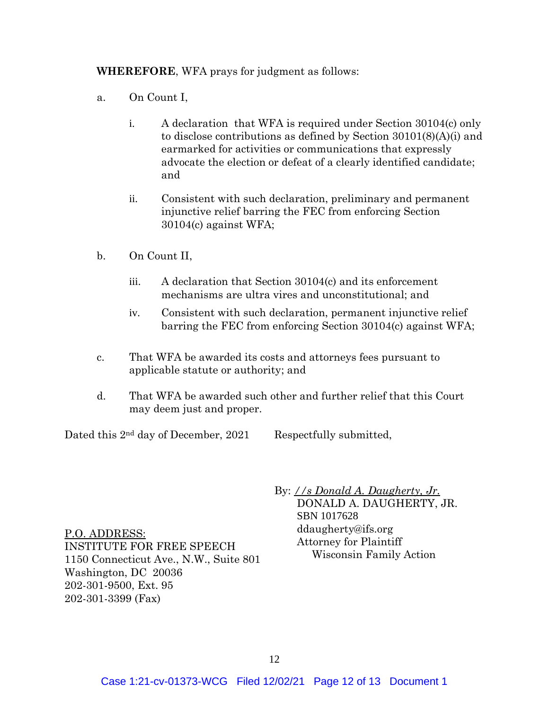**WHEREFORE**, WFA prays for judgment as follows:

- a. On Count I,
	- i. A declaration that WFA is required under Section 30104(c) only to disclose contributions as defined by Section 30101(8)(A)(i) and earmarked for activities or communications that expressly advocate the election or defeat of a clearly identified candidate; and
	- ii. Consistent with such declaration, preliminary and permanent injunctive relief barring the FEC from enforcing Section 30104(c) against WFA;
- b. On Count II,
	- iii. A declaration that Section 30104(c) and its enforcement mechanisms are ultra vires and unconstitutional; and
	- iv. Consistent with such declaration, permanent injunctive relief barring the FEC from enforcing Section 30104(c) against WFA;
- c. That WFA be awarded its costs and attorneys fees pursuant to applicable statute or authority; and
- d. That WFA be awarded such other and further relief that this Court may deem just and proper.

Dated this 2nd day of December, 2021

Respectfully submitted,

P.O. ADDRESS: INSTITUTE FOR FREE SPEECH 1150 Connecticut Ave., N.W., Suite 801 Washington, DC 20036 202-301-9500, Ext. 95 202-301-3399 (Fax)

By: *//s Donald A. Daugherty, Jr.* DONALD A. DAUGHERTY, JR. SBN 1017628 ddaugherty@ifs.org Attorney for Plaintiff Wisconsin Family Action